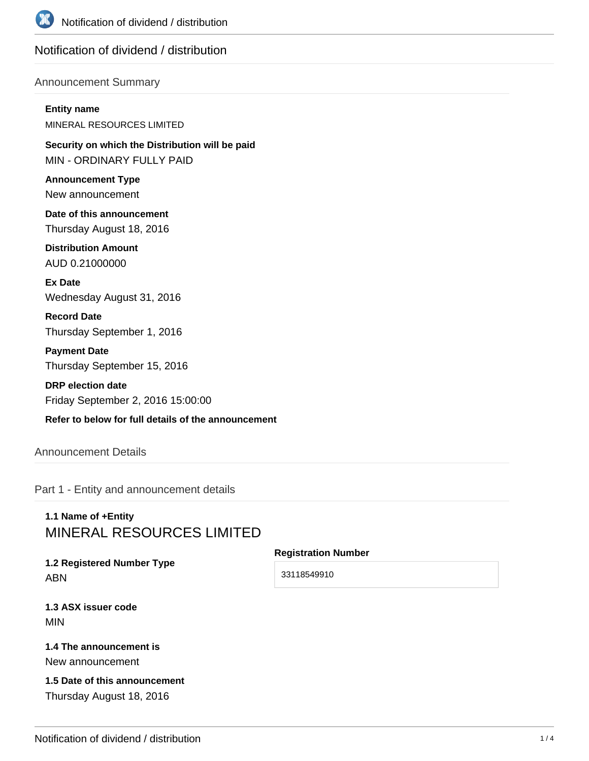

# Notification of dividend / distribution

#### Announcement Summary

#### **Entity name**

MINERAL RESOURCES LIMITED

**Security on which the Distribution will be paid** MIN - ORDINARY FULLY PAID

**Announcement Type** New announcement

**Date of this announcement** Thursday August 18, 2016

**Distribution Amount** AUD 0.21000000

**Ex Date** Wednesday August 31, 2016

**Record Date** Thursday September 1, 2016

**Payment Date** Thursday September 15, 2016

**DRP election date** Friday September 2, 2016 15:00:00

## **Refer to below for full details of the announcement**

Announcement Details

Part 1 - Entity and announcement details

# **1.1 Name of +Entity** MINERAL RESOURCES LIMITED

**1.2 Registered Number Type** ABN

**Registration Number**

33118549910

**1.3 ASX issuer code** MIN

### **1.4 The announcement is** New announcement

**1.5 Date of this announcement** Thursday August 18, 2016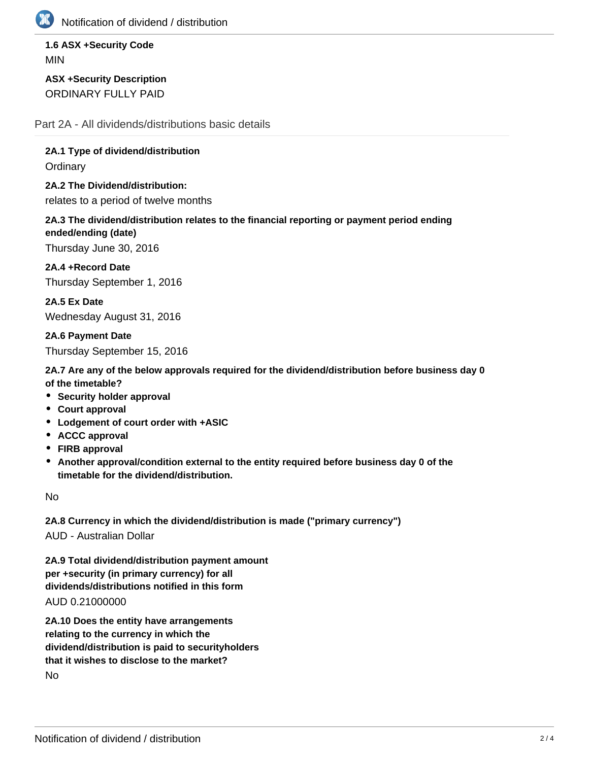

Notification of dividend / distribution

**1.6 ASX +Security Code** MIN

**ASX +Security Description** ORDINARY FULLY PAID

Part 2A - All dividends/distributions basic details

**2A.1 Type of dividend/distribution Ordinary** 

**2A.2 The Dividend/distribution:** relates to a period of twelve months

**2A.3 The dividend/distribution relates to the financial reporting or payment period ending ended/ending (date)**

Thursday June 30, 2016

**2A.4 +Record Date** Thursday September 1, 2016

**2A.5 Ex Date** Wednesday August 31, 2016

**2A.6 Payment Date** Thursday September 15, 2016

**2A.7 Are any of the below approvals required for the dividend/distribution before business day 0 of the timetable?**

- **Security holder approval**
- **Court approval**
- **Lodgement of court order with +ASIC**
- **ACCC approval**
- **FIRB approval**
- **Another approval/condition external to the entity required before business day 0 of the timetable for the dividend/distribution.**

No

**2A.8 Currency in which the dividend/distribution is made ("primary currency")** AUD - Australian Dollar

**2A.9 Total dividend/distribution payment amount per +security (in primary currency) for all dividends/distributions notified in this form** AUD 0.21000000

**2A.10 Does the entity have arrangements relating to the currency in which the dividend/distribution is paid to securityholders that it wishes to disclose to the market?** No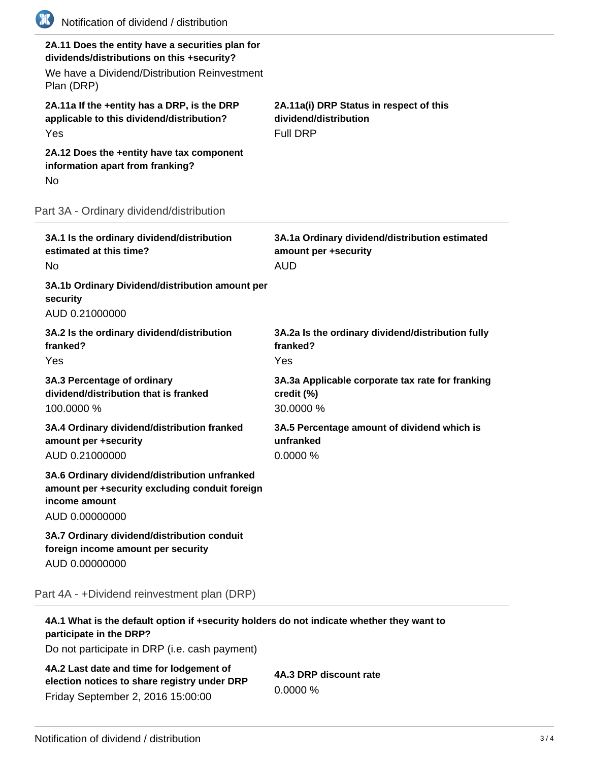| (K)<br>Notification of dividend / distribution                                                                                                               |                                                                                      |  |
|--------------------------------------------------------------------------------------------------------------------------------------------------------------|--------------------------------------------------------------------------------------|--|
| 2A.11 Does the entity have a securities plan for<br>dividends/distributions on this +security?<br>We have a Dividend/Distribution Reinvestment<br>Plan (DRP) |                                                                                      |  |
| 2A.11a If the +entity has a DRP, is the DRP<br>applicable to this dividend/distribution?<br>Yes                                                              | 2A.11a(i) DRP Status in respect of this<br>dividend/distribution<br><b>Full DRP</b>  |  |
| 2A.12 Does the +entity have tax component<br>information apart from franking?<br>No                                                                          |                                                                                      |  |
| Part 3A - Ordinary dividend/distribution                                                                                                                     |                                                                                      |  |
| 3A.1 Is the ordinary dividend/distribution<br>estimated at this time?<br>No                                                                                  | 3A.1a Ordinary dividend/distribution estimated<br>amount per +security<br><b>AUD</b> |  |
| 3A.1b Ordinary Dividend/distribution amount per<br>security<br>AUD 0.21000000                                                                                |                                                                                      |  |
| 3A.2 Is the ordinary dividend/distribution<br>franked?<br>Yes                                                                                                | 3A.2a Is the ordinary dividend/distribution fully<br>franked?<br>Yes                 |  |
| 3A.3 Percentage of ordinary<br>dividend/distribution that is franked<br>100.0000 %                                                                           | 3A.3a Applicable corporate tax rate for franking<br>credit (%)<br>30.0000 %          |  |
| 3A.4 Ordinary dividend/distribution franked<br>amount per +security<br>AUD 0.21000000                                                                        | 3A.5 Percentage amount of dividend which is<br>unfranked<br>0.0000 %                 |  |
| 3A.6 Ordinary dividend/distribution unfranked<br>amount per +security excluding conduit foreign<br>income amount<br>AUD 0.00000000                           |                                                                                      |  |
| 3A.7 Ordinary dividend/distribution conduit<br>foreign income amount per security<br>AUD 0.00000000                                                          |                                                                                      |  |
| Part 4A - +Dividend reinvestment plan (DRP)                                                                                                                  |                                                                                      |  |
| 4A.1 What is the default option if +security holders do not indicate whether they want to<br>participate in the DRP?                                         |                                                                                      |  |

Do not participate in DRP (i.e. cash payment)

**4A.2 Last date and time for lodgement of election notices to share registry under DRP** Friday September 2, 2016 15:00:00

**4A.3 DRP discount rate** 0.0000 %